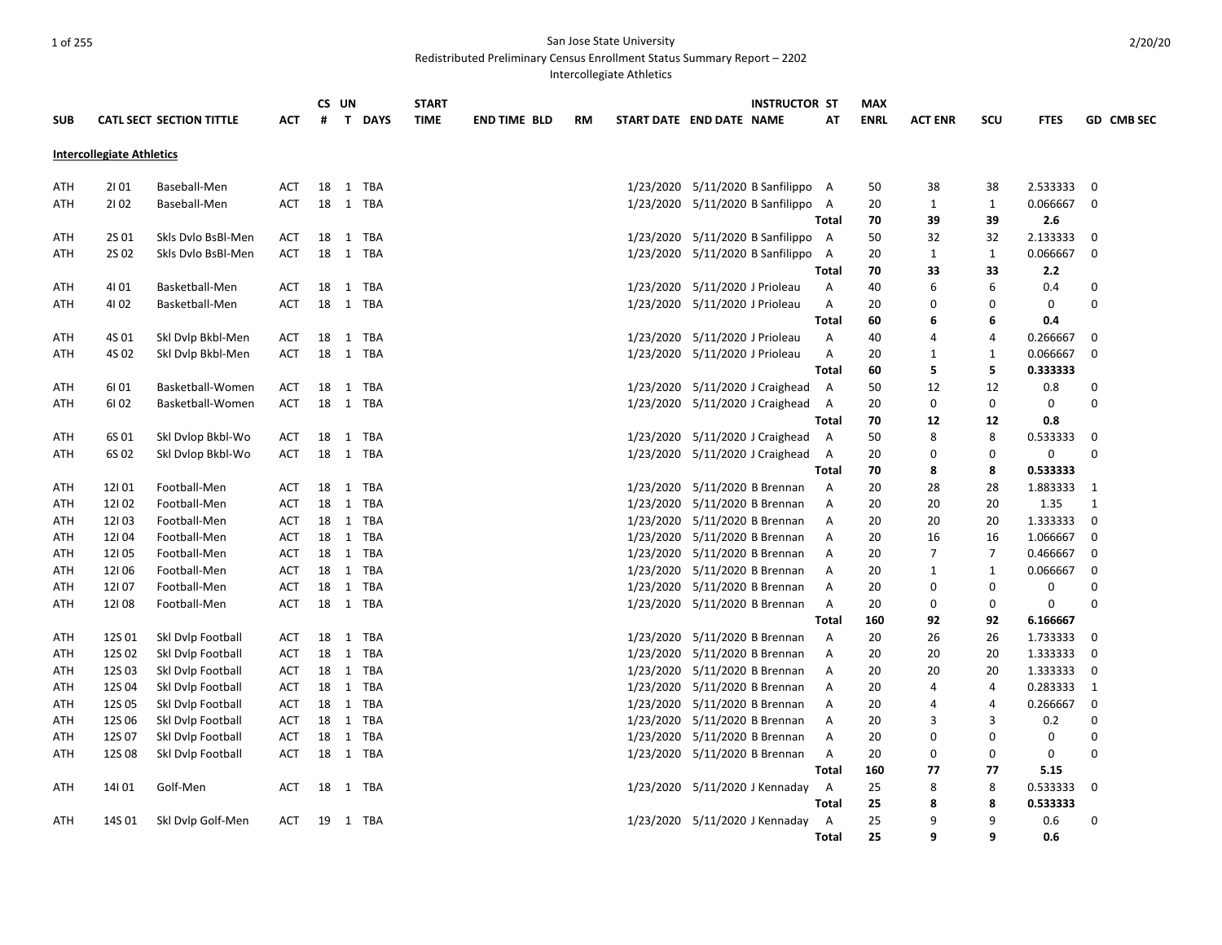### 1 of 255 San Jose State University

Redistributed Preliminary Census Enrollment Status Summary Report – 2202

Intercollegiate Athletics

| <b>SUB</b> |                                  | <b>CATL SECT SECTION TITTLE</b> | <b>ACT</b> | #  | CS UN<br>$\mathsf{T}$ | <b>DAYS</b> | <b>START</b><br><b>TIME</b> | <b>END TIME BLD</b> | <b>RM</b> | START DATE END DATE NAME |                                | <b>INSTRUCTOR ST</b>               | AT           | <b>MAX</b><br><b>ENRL</b> | <b>ACT ENR</b> | scu            | <b>FTES</b> |             | GD CMB SEC |
|------------|----------------------------------|---------------------------------|------------|----|-----------------------|-------------|-----------------------------|---------------------|-----------|--------------------------|--------------------------------|------------------------------------|--------------|---------------------------|----------------|----------------|-------------|-------------|------------|
|            | <b>Intercollegiate Athletics</b> |                                 |            |    |                       |             |                             |                     |           |                          |                                |                                    |              |                           |                |                |             |             |            |
| ATH        | 2101                             | Baseball-Men                    | ACT        | 18 |                       | 1 TBA       |                             |                     |           |                          |                                | 1/23/2020 5/11/2020 B Sanfilippo A |              | 50                        | 38             | 38             | 2.533333    | 0           |            |
| ATH        | 2102                             | Baseball-Men                    | ACT        | 18 |                       | 1 TBA       |                             |                     |           |                          |                                | 1/23/2020 5/11/2020 B Sanfilippo   | A            | 20                        | $\mathbf{1}$   | $\mathbf{1}$   | 0.066667    | $\mathbf 0$ |            |
|            |                                  |                                 |            |    |                       |             |                             |                     |           |                          |                                |                                    | Total        | 70                        | 39             | 39             | 2.6         |             |            |
| ATH        | 2S 01                            | Skls Dvlo BsBl-Men              | <b>ACT</b> | 18 | $\mathbf{1}$          | TBA         |                             |                     |           |                          |                                | 1/23/2020 5/11/2020 B Sanfilippo   | A            | 50                        | 32             | 32             | 2.133333    | $\mathbf 0$ |            |
| ATH        | 2S 02                            | Skls Dvlo BsBl-Men              | <b>ACT</b> | 18 |                       | 1 TBA       |                             |                     |           |                          |                                | 1/23/2020 5/11/2020 B Sanfilippo   | A            | 20                        | 1              | 1              | 0.066667    | 0           |            |
|            |                                  |                                 |            |    |                       |             |                             |                     |           |                          |                                |                                    | <b>Total</b> | 70                        | 33             | 33             | 2.2         |             |            |
| ATH        | 4101                             | Basketball-Men                  | ACT        | 18 |                       | 1 TBA       |                             |                     |           |                          | 1/23/2020 5/11/2020 J Prioleau |                                    | Α            | 40                        | 6              | 6              | 0.4         | 0           |            |
| ATH        | 4102                             | Basketball-Men                  | <b>ACT</b> | 18 |                       | 1 TBA       |                             |                     |           |                          | 1/23/2020 5/11/2020 J Prioleau |                                    | Α            | 20                        | 0              | 0              | 0           | $\Omega$    |            |
|            |                                  |                                 |            |    |                       |             |                             |                     |           |                          |                                |                                    | Total        | 60                        | 6              | 6              | 0.4         |             |            |
| ATH        | 4S 01                            | Skl Dvlp Bkbl-Men               | ACT        | 18 |                       | 1 TBA       |                             |                     |           |                          | 1/23/2020 5/11/2020 J Prioleau |                                    | Α            | 40                        | 4              | $\overline{4}$ | 0.266667    | 0           |            |
| ATH        | 4S 02                            | Skl Dvlp Bkbl-Men               | <b>ACT</b> | 18 |                       | 1 TBA       |                             |                     |           |                          | 1/23/2020 5/11/2020 J Prioleau |                                    | Α            | 20                        | $\mathbf{1}$   | 1              | 0.066667    | 0           |            |
|            |                                  |                                 |            |    |                       |             |                             |                     |           |                          |                                |                                    | Total        | 60                        | 5              | 5              | 0.333333    |             |            |
| ATH        | 6101                             | Basketball-Women                | <b>ACT</b> | 18 |                       | 1 TBA       |                             |                     |           |                          |                                | 1/23/2020 5/11/2020 J Craighead    | A            | 50                        | 12             | 12             | 0.8         | 0           |            |
| ATH        | 6102                             | Basketball-Women                | <b>ACT</b> | 18 |                       | 1 TBA       |                             |                     |           |                          |                                | 1/23/2020 5/11/2020 J Craighead    | A            | 20                        | 0              | 0              | 0           | $\Omega$    |            |
|            |                                  |                                 |            |    |                       |             |                             |                     |           |                          |                                |                                    | Total        | 70                        | 12             | 12             | 0.8         |             |            |
| ATH        | 6S 01                            | Skl Dvlop Bkbl-Wo               | <b>ACT</b> | 18 |                       | 1 TBA       |                             |                     |           |                          |                                | 1/23/2020 5/11/2020 J Craighead    | A            | 50                        | 8              | 8              | 0.533333    | 0           |            |
| ATH        | 6S 02                            | Skl Dylop Bkbl-Wo               | ACT        | 18 |                       | 1 TBA       |                             |                     |           |                          |                                | 1/23/2020 5/11/2020 J Craighead    | Α            | 20                        | 0              | 0              | 0           | $\Omega$    |            |
|            |                                  |                                 |            |    |                       |             |                             |                     |           |                          |                                |                                    | <b>Total</b> | 70                        | 8              | 8              | 0.533333    |             |            |
| ATH        | 12101                            | Football-Men                    | <b>ACT</b> | 18 |                       | 1 TBA       |                             |                     |           |                          | 1/23/2020 5/11/2020 B Brennan  |                                    | A            | 20                        | 28             | 28             | 1.883333    | 1           |            |
| ATH        | 12102                            | Football-Men                    | <b>ACT</b> | 18 | 1                     | <b>TBA</b>  |                             |                     |           |                          | 1/23/2020 5/11/2020 B Brennan  |                                    | Α            | 20                        | 20             | 20             | 1.35        | 1           |            |
| ATH        | 12103                            | Football-Men                    | <b>ACT</b> | 18 | $\mathbf{1}$          | <b>TBA</b>  |                             |                     |           |                          | 1/23/2020 5/11/2020 B Brennan  |                                    | Α            | 20                        | 20             | 20             | 1.333333    | 0           |            |
| ATH        | 12104                            | Football-Men                    | ACT        | 18 | 1                     | <b>TBA</b>  |                             |                     |           |                          | 1/23/2020 5/11/2020 B Brennan  |                                    | Α            | 20                        | 16             | 16             | 1.066667    | $\mathbf 0$ |            |
| ATH        | 12105                            | Football-Men                    | ACT        | 18 | 1                     | <b>TBA</b>  |                             |                     |           |                          | 1/23/2020 5/11/2020 B Brennan  |                                    | Α            | 20                        | $\overline{7}$ | 7              | 0.466667    | 0           |            |
| ATH        | 12106                            | Football-Men                    | ACT        | 18 | $\mathbf{1}$          | <b>TBA</b>  |                             |                     |           |                          | 1/23/2020 5/11/2020 B Brennan  |                                    | Α            | 20                        | $\mathbf{1}$   | $\mathbf{1}$   | 0.066667    | 0           |            |
| ATH        | 12107                            | Football-Men                    | ACT        | 18 |                       | 1 TBA       |                             |                     |           |                          | 1/23/2020 5/11/2020 B Brennan  |                                    | Α            | 20                        | 0              | 0              | 0           | $\Omega$    |            |
| ATH        | 12108                            | Football-Men                    | <b>ACT</b> | 18 |                       | 1 TBA       |                             |                     |           |                          | 1/23/2020 5/11/2020 B Brennan  |                                    | Α            | 20                        | $\mathbf 0$    | 0              | 0           | $\Omega$    |            |
|            |                                  |                                 |            |    |                       |             |                             |                     |           |                          |                                |                                    | Total        | 160                       | 92             | 92             | 6.166667    |             |            |
| ATH        | 12S01                            | Skl Dvlp Football               | ACT        | 18 |                       | 1 TBA       |                             |                     |           |                          | 1/23/2020 5/11/2020 B Brennan  |                                    | Α            | 20                        | 26             | 26             | 1.733333    | 0           |            |
| ATH        | 12S 02                           | Skl Dvlp Football               | ACT        | 18 | 1                     | <b>TBA</b>  |                             |                     |           |                          | 1/23/2020 5/11/2020 B Brennan  |                                    | Α            | 20                        | 20             | 20             | 1.333333    | 0           |            |
| ATH        | 12S03                            | Skl Dvlp Football               | ACT        | 18 |                       | 1 TBA       |                             |                     |           |                          | 1/23/2020 5/11/2020 B Brennan  |                                    | Α            | 20                        | 20             | 20             | 1.333333    | 0           |            |
| ATH        | 12S04                            | Skl Dvlp Football               | <b>ACT</b> | 18 |                       | 1 TBA       |                             |                     |           |                          | 1/23/2020 5/11/2020 B Brennan  |                                    | Α            | 20                        | 4              | $\overline{a}$ | 0.283333    | 1           |            |
| ATH        | 12S 05                           | Skl Dvlp Football               | ACT        | 18 | 1                     | <b>TBA</b>  |                             |                     |           |                          | 1/23/2020 5/11/2020 B Brennan  |                                    | A            | 20                        | 4              | 4              | 0.266667    | $\mathbf 0$ |            |
| ATH        | 12S 06                           | Skl Dvlp Football               | <b>ACT</b> | 18 |                       | 1 TBA       |                             |                     |           |                          | 1/23/2020 5/11/2020 B Brennan  |                                    | Α            | 20                        | 3              | 3              | 0.2         | 0           |            |
| ATH        | 12S 07                           | Skl Dvlp Football               | ACT        | 18 | 1                     | TBA         |                             |                     |           |                          | 1/23/2020 5/11/2020 B Brennan  |                                    | Α            | 20                        | 0              | 0              | 0           | $\Omega$    |            |
| ATH        | 12S08                            | Skl Dvlp Football               | ACT        | 18 | 1                     | TBA         |                             |                     |           |                          | 1/23/2020 5/11/2020 B Brennan  |                                    | Α            | 20                        | 0              | 0              | 0           | $\Omega$    |            |
|            |                                  |                                 |            |    |                       |             |                             |                     |           |                          |                                |                                    | <b>Total</b> | 160                       | 77             | 77             | 5.15        |             |            |
| ATH        | 14101                            | Golf-Men                        | ACT        | 18 |                       | 1 TBA       |                             |                     |           |                          |                                | 1/23/2020 5/11/2020 J Kennaday     | A            | 25                        | 8              | 8              | 0.533333    | $\mathbf 0$ |            |
|            |                                  |                                 |            |    |                       |             |                             |                     |           |                          |                                |                                    | Total        | 25                        | 8              | 8              | 0.533333    |             |            |
| ATH        | 14S 01                           | Skl Dvlp Golf-Men               | <b>ACT</b> | 19 |                       | 1 TBA       |                             |                     |           |                          |                                | 1/23/2020 5/11/2020 J Kennaday     | Α            | 25                        | 9              | 9              | 0.6         | $\Omega$    |            |
|            |                                  |                                 |            |    |                       |             |                             |                     |           |                          |                                |                                    | <b>Total</b> | 25                        | 9              | 9              | 0.6         |             |            |

2/20/20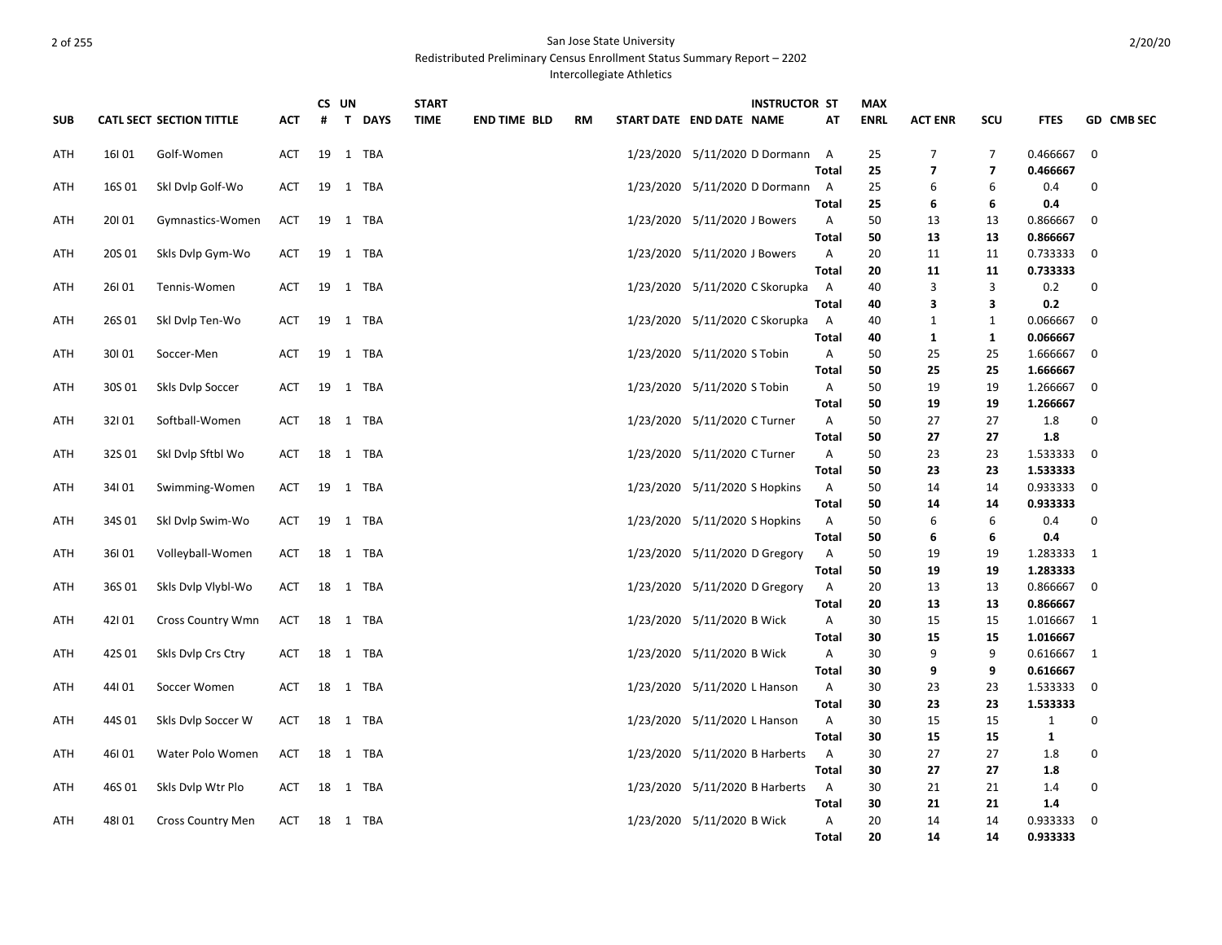# 2 of 255 San Jose State University

Redistributed Preliminary Census Enrollment Status Summary Report – 2202

Intercollegiate Athletics

|            |        |                                 |            | CS UN |  | <b>START</b> |             |                     | <b>INSTRUCTOR ST</b> |                                 | <b>MAX</b>                   |             |                         |                         |              |                         |
|------------|--------|---------------------------------|------------|-------|--|--------------|-------------|---------------------|----------------------|---------------------------------|------------------------------|-------------|-------------------------|-------------------------|--------------|-------------------------|
| <b>SUB</b> |        | <b>CATL SECT SECTION TITTLE</b> | ACT        | #     |  | T DAYS       | <b>TIME</b> | <b>END TIME BLD</b> | RM                   | START DATE END DATE NAME        | AT                           | <b>ENRL</b> | <b>ACT ENR</b>          | scu                     | <b>FTES</b>  | GD CMB SEC              |
| <b>ATH</b> | 16101  | Golf-Women                      | <b>ACT</b> | 19    |  | 1 TBA        |             |                     |                      | 1/23/2020 5/11/2020 D Dormann   | A                            | 25          | $\overline{7}$          | $\overline{7}$          | 0.466667     | $\mathbf 0$             |
|            |        |                                 |            |       |  |              |             |                     |                      |                                 | <b>Total</b>                 | 25          | $\overline{\mathbf{z}}$ | $\overline{\mathbf{z}}$ | 0.466667     |                         |
| ATH        | 16S 01 | Skl Dvlp Golf-Wo                | ACT        |       |  | 19 1 TBA     |             |                     |                      | 1/23/2020 5/11/2020 D Dormann A |                              | 25          | 6                       | 6                       | 0.4          | 0                       |
|            |        |                                 |            |       |  |              |             |                     |                      |                                 | <b>Total</b>                 | 25          | 6                       | 6                       | 0.4          |                         |
| ATH        | 20101  | Gymnastics-Women                | <b>ACT</b> | 19    |  | 1 TBA        |             |                     |                      | 1/23/2020 5/11/2020 J Bowers    | $\mathsf{A}$                 | 50          | 13                      | 13                      | 0.866667     | $\mathbf 0$             |
|            |        |                                 |            |       |  |              |             |                     |                      |                                 | <b>Total</b>                 | 50          | 13                      | 13                      | 0.866667     |                         |
| ATH        | 20S 01 | Skls Dylp Gym-Wo                | <b>ACT</b> | 19    |  | 1 TBA        |             |                     |                      | 1/23/2020 5/11/2020 J Bowers    | $\mathsf{A}$                 | 20          | 11                      | 11                      | 0.733333     | 0                       |
|            |        |                                 |            |       |  |              |             |                     |                      |                                 | <b>Total</b>                 | 20          | 11                      | 11                      | 0.733333     |                         |
| ATH        | 26101  | Tennis-Women                    | <b>ACT</b> |       |  | 19 1 TBA     |             |                     |                      | 1/23/2020 5/11/2020 C Skorupka  | A                            | 40          | 3                       | 3                       | $0.2\,$      | $\mathbf 0$             |
|            |        |                                 |            |       |  |              |             |                     |                      |                                 | <b>Total</b>                 | 40          | 3                       | 3                       | 0.2          |                         |
| ATH        | 26S01  | Skl Dvlp Ten-Wo                 | ACT        | 19    |  | 1 TBA        |             |                     |                      | 1/23/2020 5/11/2020 C Skorupka  | A                            | 40          | $\mathbf{1}$            | $\mathbf{1}$            | 0.066667     | 0                       |
|            |        |                                 |            |       |  |              |             |                     |                      |                                 | <b>Total</b>                 | 40          | 1                       | $\mathbf{1}$            | 0.066667     |                         |
| ATH        | 30101  | Soccer-Men                      | <b>ACT</b> | 19    |  | 1 TBA        |             |                     |                      | 1/23/2020 5/11/2020 S Tobin     | A                            | 50          | 25                      | 25                      | 1.666667     | 0                       |
|            |        |                                 |            |       |  |              |             |                     |                      |                                 | <b>Total</b>                 | 50          | 25                      | 25                      | 1.666667     |                         |
| ATH        | 30S 01 | Skls Dvlp Soccer                | ACT        |       |  | 19 1 TBA     |             |                     |                      | 1/23/2020 5/11/2020 S Tobin     | A                            | 50          | 19                      | 19                      | 1.266667     | $\overline{\mathbf{0}}$ |
|            |        |                                 |            |       |  |              |             |                     |                      |                                 | Total                        | 50<br>50    | 19<br>27                | 19<br>27                | 1.266667     | 0                       |
| ATH        | 32101  | Softball-Women                  | ACT        | 18    |  | 1 TBA        |             |                     |                      | 1/23/2020 5/11/2020 C Turner    | $\mathsf{A}$<br><b>Total</b> | 50          | 27                      | 27                      | 1.8<br>1.8   |                         |
| ATH        | 32S01  | Ski Dylp Sftbl Wo               | ACT        | 18    |  | 1 TBA        |             |                     |                      | 1/23/2020 5/11/2020 C Turner    | A                            | 50          | 23                      | 23                      | 1.533333     | $\mathbf 0$             |
|            |        |                                 |            |       |  |              |             |                     |                      |                                 | <b>Total</b>                 | 50          | 23                      | 23                      | 1.533333     |                         |
| ATH        | 34101  | Swimming-Women                  | ACT        |       |  | 19 1 TBA     |             |                     |                      | 1/23/2020 5/11/2020 S Hopkins   | $\overline{A}$               | 50          | 14                      | 14                      | 0.933333     | $\overline{\mathbf{0}}$ |
|            |        |                                 |            |       |  |              |             |                     |                      |                                 | <b>Total</b>                 | 50          | 14                      | 14                      | 0.933333     |                         |
| ATH        | 34S 01 | Skl Dvlp Swim-Wo                | <b>ACT</b> | 19    |  | 1 TBA        |             |                     |                      | 1/23/2020 5/11/2020 S Hopkins   | Α                            | 50          | 6                       | 6                       | 0.4          | $\pmb{0}$               |
|            |        |                                 |            |       |  |              |             |                     |                      |                                 | <b>Total</b>                 | 50          | 6                       | 6                       | 0.4          |                         |
| ATH        | 36101  | Volleyball-Women                | ACT        | 18    |  | 1 TBA        |             |                     |                      | 1/23/2020 5/11/2020 D Gregory   | A                            | 50          | 19                      | 19                      | 1.283333     | $\overline{1}$          |
|            |        |                                 |            |       |  |              |             |                     |                      |                                 | <b>Total</b>                 | 50          | 19                      | 19                      | 1.283333     |                         |
| ATH        | 36S01  | Skls Dvlp Vlybl-Wo              | ACT        |       |  | 18 1 TBA     |             |                     |                      | 1/23/2020 5/11/2020 D Gregory   | $\overline{A}$               | 20          | 13                      | 13                      | 0.866667 0   |                         |
|            |        |                                 |            |       |  |              |             |                     |                      |                                 | <b>Total</b>                 | 20          | 13                      | 13                      | 0.866667     |                         |
| ATH        | 42101  | <b>Cross Country Wmn</b>        | <b>ACT</b> |       |  | 18 1 TBA     |             |                     |                      | 1/23/2020 5/11/2020 B Wick      | A                            | 30          | 15                      | 15                      | 1.016667 1   |                         |
|            |        |                                 |            |       |  |              |             |                     |                      |                                 | Total                        | 30          | 15                      | 15                      | 1.016667     |                         |
| ATH        | 42S 01 | Skls Dvlp Crs Ctry              | ACT        |       |  | 18 1 TBA     |             |                     |                      | 1/23/2020 5/11/2020 B Wick      | A                            | 30          | 9                       | 9                       | 0.616667     | $\overline{1}$          |
|            |        |                                 |            |       |  |              |             |                     |                      |                                 | Total                        | 30          | 9                       | 9                       | 0.616667     |                         |
| ATH        | 44101  | Soccer Women                    | ACT        |       |  | 18 1 TBA     |             |                     |                      | 1/23/2020 5/11/2020 L Hanson    | $\overline{A}$               | 30          | 23                      | 23                      | 1.533333     | 0                       |
|            |        |                                 |            |       |  |              |             |                     |                      |                                 | <b>Total</b>                 | 30          | 23                      | 23                      | 1.533333     |                         |
| ATH        | 44S 01 | Skls Dvlp Soccer W              | ACT        |       |  | 18 1 TBA     |             |                     |                      | 1/23/2020 5/11/2020 L Hanson    | A                            | 30          | 15                      | 15                      | $\mathbf{1}$ | 0                       |
|            |        |                                 |            |       |  |              |             |                     |                      |                                 | <b>Total</b>                 | 30          | 15                      | 15                      | $\mathbf{1}$ |                         |
| ATH        | 46I01  | Water Polo Women                | ACT        | 18    |  | 1 TBA        |             |                     |                      | 1/23/2020 5/11/2020 B Harberts  | A                            | 30          | 27                      | 27                      | 1.8          | 0                       |
|            |        |                                 |            |       |  |              |             |                     |                      |                                 | Total                        | 30          | 27                      | 27                      | 1.8          |                         |
| ATH        | 46S 01 | Skls Dvlp Wtr Plo               | ACT        |       |  | 18 1 TBA     |             |                     |                      | 1/23/2020 5/11/2020 B Harberts  | $\overline{A}$               | 30          | 21                      | 21                      | 1.4          | $\mathbf 0$             |
|            |        |                                 |            |       |  |              |             |                     |                      |                                 | <b>Total</b>                 | 30          | 21                      | 21                      | 1.4          |                         |
| ATH        | 48101  | <b>Cross Country Men</b>        | ACT        |       |  | 18 1 TBA     |             |                     |                      | 1/23/2020 5/11/2020 B Wick      | A                            | 20          | 14                      | 14                      | 0.933333     | 0                       |
|            |        |                                 |            |       |  |              |             |                     |                      |                                 | <b>Total</b>                 | 20          | 14                      | 14                      | 0.933333     |                         |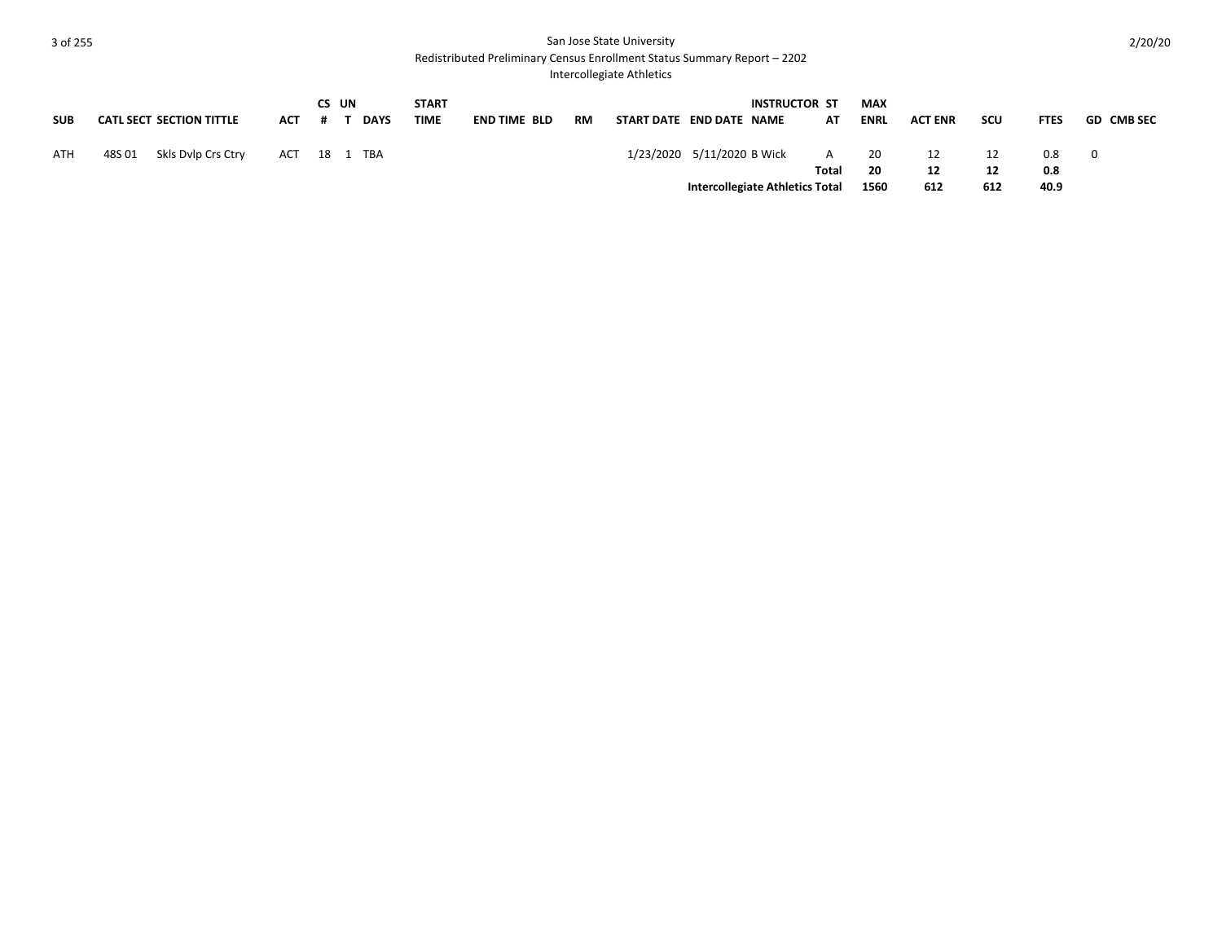### **3** of 255 San Jose State University

Redistributed Preliminary Census Enrollment Status Summary Report – 2202

Intercollegiate Athletics

|            |                                 |              | CS UN |             | <b>START</b> |                     |    |                            | <b>INSTRUCTOR ST</b>            |       | <b>MAX</b>  |                |     |             |            |
|------------|---------------------------------|--------------|-------|-------------|--------------|---------------------|----|----------------------------|---------------------------------|-------|-------------|----------------|-----|-------------|------------|
| <b>SUB</b> | <b>CATL SECT SECTION TITTLE</b> | ACT          |       | <b>DAYS</b> | <b>TIME</b>  | <b>END TIME BLD</b> | RM | START DATE END DATE NAME   |                                 | AT    | <b>ENRL</b> | <b>ACT ENR</b> | scu | <b>FTES</b> | GD CMB SEC |
| <b>ATH</b> | Skls Dvlp Crs Ctry<br>48S 01    | ACT 18 1 TBA |       |             |              |                     |    | 1/23/2020 5/11/2020 B Wick |                                 | $A$ . | - 20        | 12             | 12  | 0.8         |            |
|            |                                 |              |       |             |              |                     |    |                            |                                 | Total | -20         | 12             | 12  | 0.8         |            |
|            |                                 |              |       |             |              |                     |    |                            | Intercollegiate Athletics Total |       | 1560        | 612            | 612 | 40.9        |            |